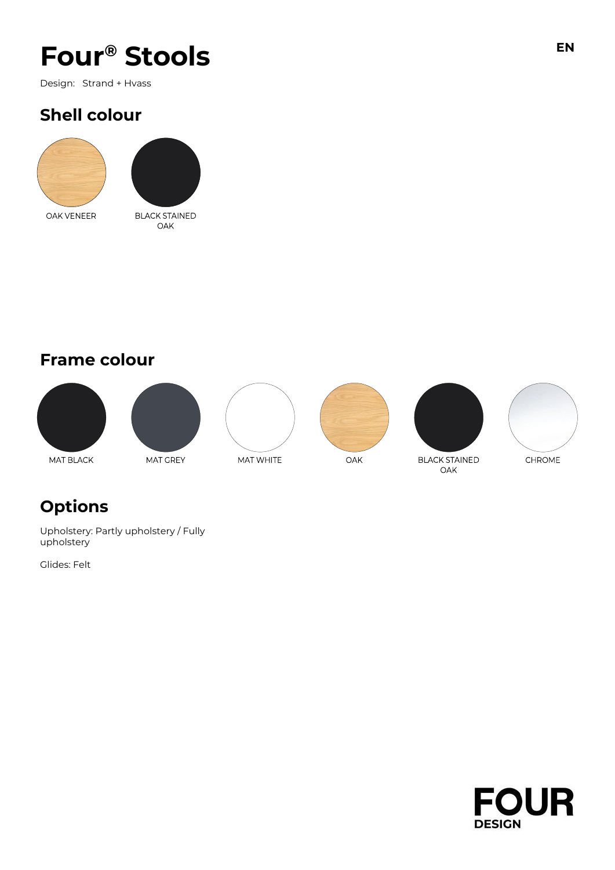# **Four® Stools EN**

Design: Strand + Hvass

## **Shell colour**





## **Frame colour**













### **BLACK STAINED** OAK

# **Options**

Upholstery: Partly upholstery / Fully upholstery

Glides: Felt

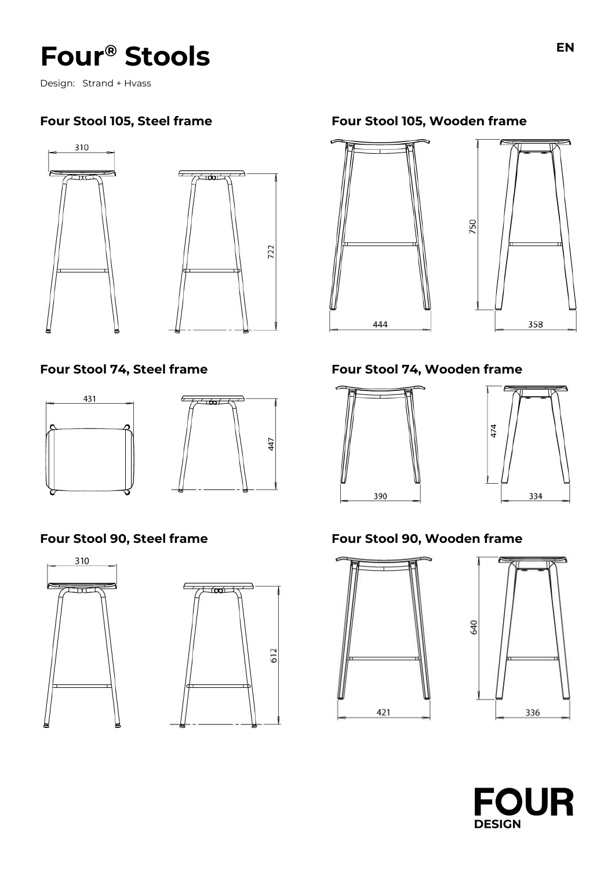# **Four® Stools EN**

Design: Strand + Hvass









### **Four Stool 105, Steel frame Four Stool 105, Wooden frame**



### **Four Stool 74, Steel frame Four Stool 74, Wooden frame**





### **Four Stool 90, Steel frame Four Stool 90, Wooden frame**